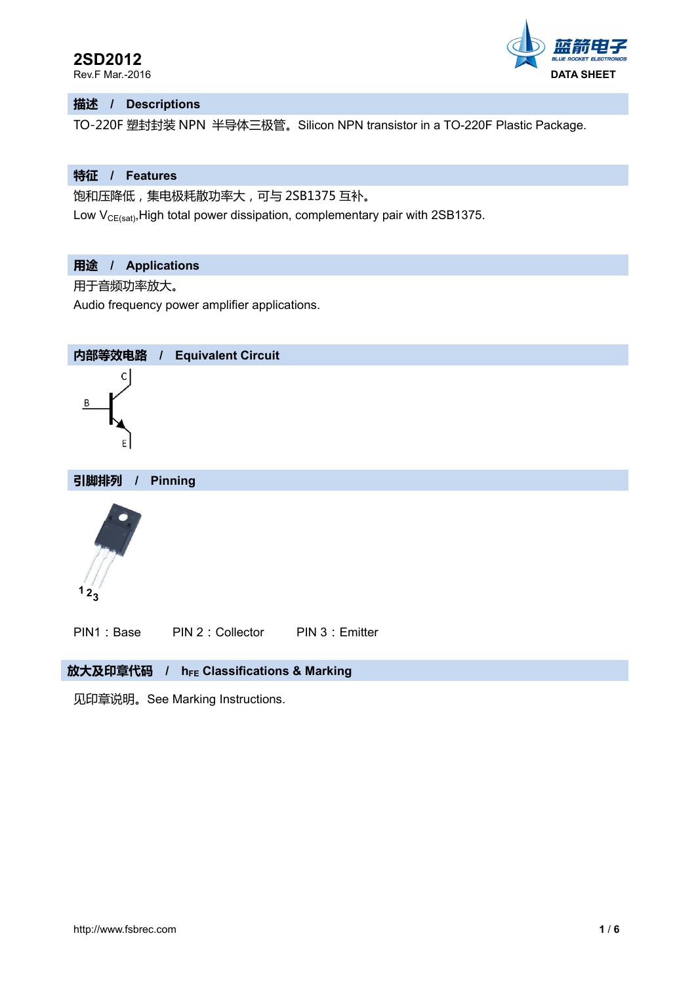

## **描述 / Descriptions**

TO-220F 塑封封装 NPN 半导体三极管。Silicon NPN transistor in a TO-220F Plastic Package.

#### **特征 / Features**

饱和压降低,集电极耗散功率大,可与 2SB1375 互补。

Low  $V_{CE(sat)}$ , High total power dissipation, complementary pair with 2SB1375.

# **用途 / Applications**

用于音频功率放大。

Audio frequency power amplifier applications.



PIN1: Base PIN 2: Collector PIN 3: Emitter

# 放大及印章代码 / h<sub>FE</sub> Classifications & Marking

见印章说明。See Marking Instructions.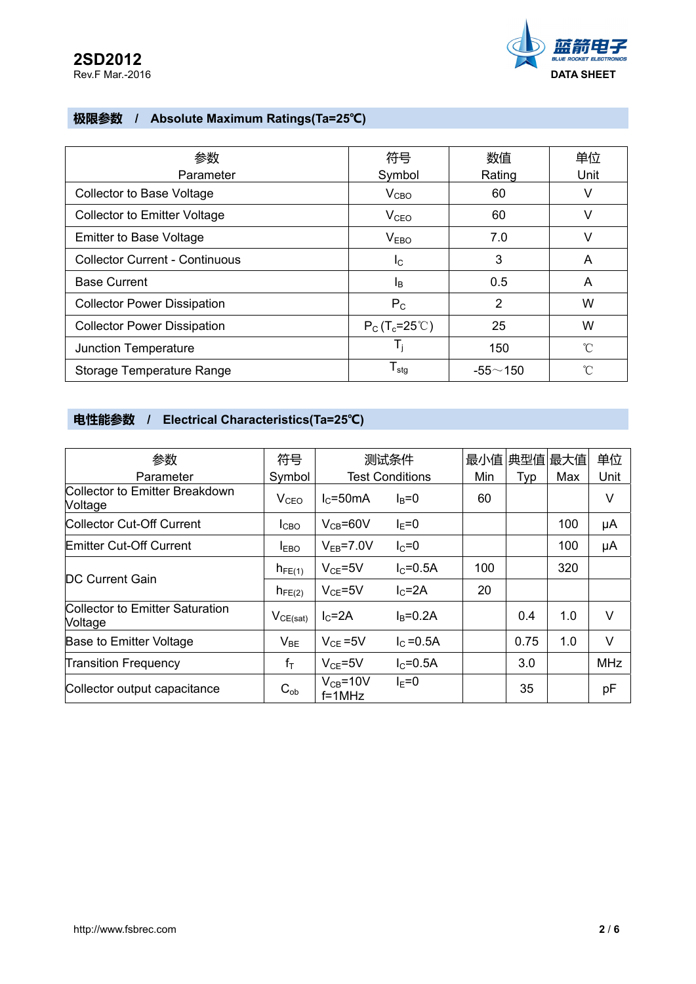

# **极限参数 / Absolute Maximum Ratings(Ta=25℃)**

| 参数<br>Parameter                       | 符号                     | 数值             | 单位<br>Unit |
|---------------------------------------|------------------------|----------------|------------|
|                                       | Symbol                 | Rating         |            |
| <b>Collector to Base Voltage</b>      | $V_{CBO}$              | 60             | V          |
| <b>Collector to Emitter Voltage</b>   | V <sub>CEO</sub>       | 60             | v          |
| <b>Emitter to Base Voltage</b>        | V <sub>EBO</sub>       | 7.0            | v          |
| <b>Collector Current - Continuous</b> | <sub>IC</sub>          | 3              | A          |
| <b>Base Current</b>                   | l <sub>B</sub>         | 0.5            | A          |
| <b>Collector Power Dissipation</b>    | $P_{C}$                | $\overline{2}$ | W          |
| <b>Collector Power Dissipation</b>    | $P_C(T_c=25^{\circ}C)$ | 25             | W          |
| Junction Temperature                  | T,                     | 150            | °C         |
| Storage Temperature Range             | $T_{\text{stg}}$       | $-55 - 150$    | n°         |

# **电性能参数 / Electrical Characteristics(Ta=25℃)**

| 参数                                               | 符号               | 测试条件                          |                        | 最小值 | 典型值最大值 |     | 单位         |
|--------------------------------------------------|------------------|-------------------------------|------------------------|-----|--------|-----|------------|
| Parameter                                        | Symbol           |                               | <b>Test Conditions</b> | Min | Typ    | Max | Unit       |
| Collector to Emitter Breakdown<br><b>Voltage</b> | V <sub>CEO</sub> | $I_{C}$ =50mA                 | $I_B=0$                | 60  |        |     | V          |
| Collector Cut-Off Current                        | I <sub>CBO</sub> | $V_{CB} = 60V$                | $I_F = 0$              |     |        | 100 | μA         |
| <b>Emitter Cut-Off Current</b>                   | I <sub>EBO</sub> | $V_{FB} = 7.0V$               | $IC=0$                 |     |        | 100 | μA         |
| DC Current Gain                                  | $h_{FE(1)}$      | $V_{CE} = 5V$                 | $IC=0.5A$              | 100 |        | 320 |            |
|                                                  | $h_{FE(2)}$      | $V_{CF} = 5V$                 | $IC=2A$                | 20  |        |     |            |
| Collector to Emitter Saturation<br>Voltage       | $V_{CE(sat)}$    | $IC=2A$                       | $I_B=0.2A$             |     | 0.4    | 1.0 | $\vee$     |
| Base to Emitter Voltage                          | $V_{BE}$         | $V_{CE} = 5V$                 | $I_{C} = 0.5A$         |     | 0.75   | 1.0 | $\vee$     |
| <b>Transition Frequency</b>                      | $f_T$            | $V_{CF} = 5V$                 | $IC=0.5A$              |     | 3.0    |     | <b>MHz</b> |
| Collector output capacitance                     | $C_{ob}$         | $V_{CB} = 10V$<br>$f = 1$ MHz | $I_F = 0$              |     | 35     |     | рF         |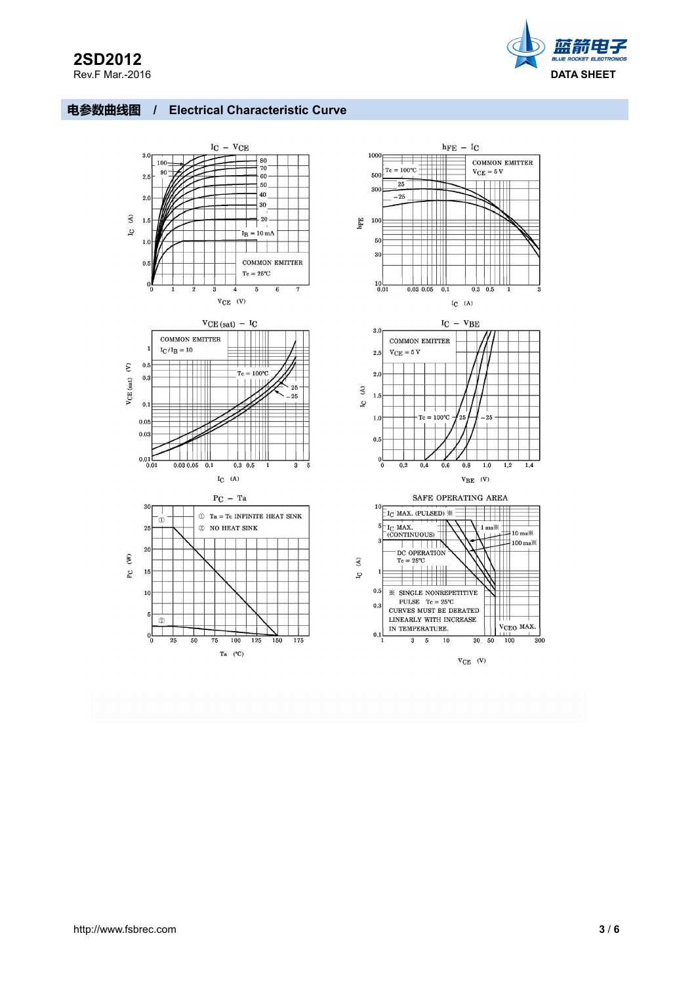# **2SD2012**<br>Rev.F Mar.-2016



## **电参数曲线图 / Electrical Characteristic Curve**











SAFE OPERATING AREA



 $V_{CE}$  (V)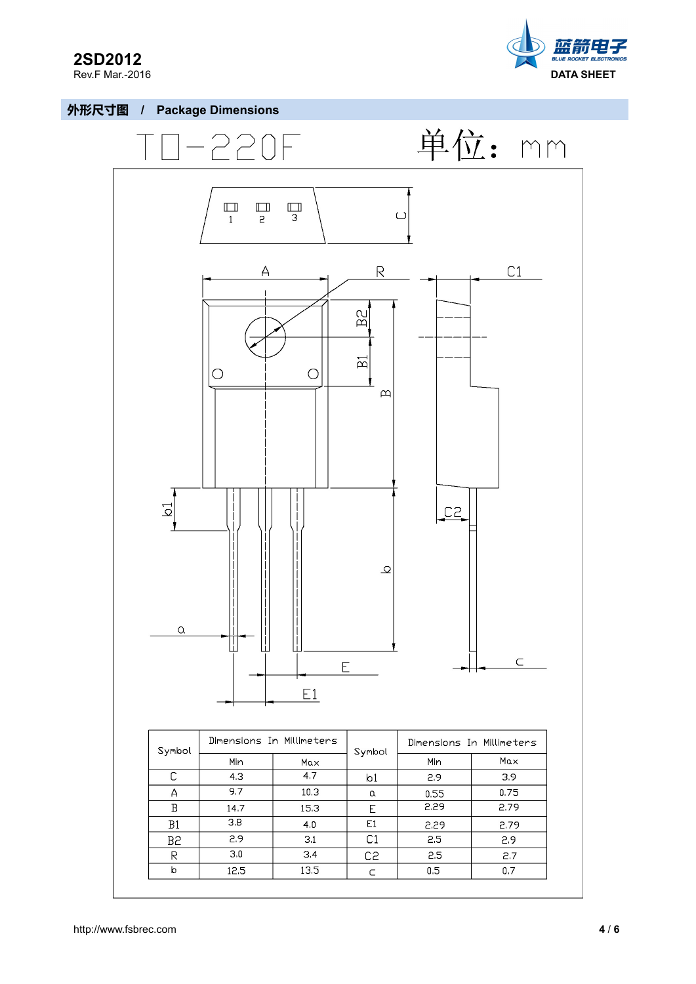

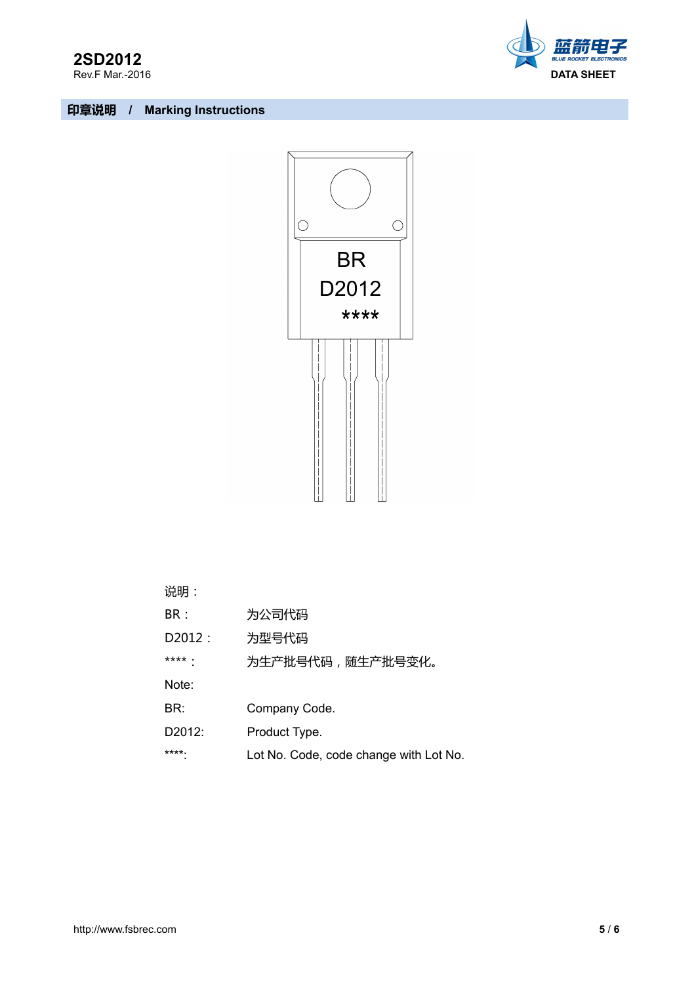





| ⊬∄י<br>۱ لیو ، |  |
|----------------|--|
| レアー            |  |

- BR: 为公司代码
- D2012: 为型号代码
- \*\*\*\*: 为生产批号代码,随生产批号变化。
- Note:
- BR: Company Code.
- D2012: Product Type.
- \*\*\*\*: Lot No. Code, code change with Lot No.